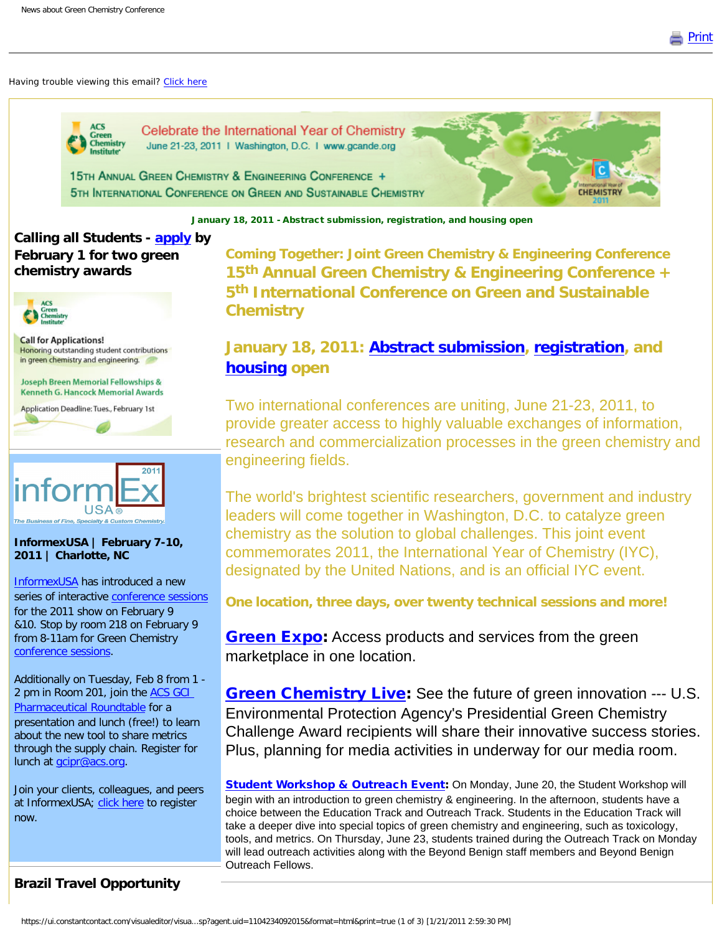

**CHEMISTRY** 

#### Having trouble viewing this email? [Click here](http://campaign.r20.constantcontact.com/render?llr=nnmbgpcab&v=001vUitVcnL-0eb5iNm0vMsyj8CPSrECfBLoH4_EnpaWV22plhop-qHCKMYYcYTbvCrcFGfYohCbNaRy3EgVbQMLSgwCxYx8mabQ7rC88RfxnjklVrvB77c6FaMqNbxHUI7GNrDeXiTmj1u2jXaWdDKK14nxOIP3POclX_QBkjArpfjAFNWN4A7JJdCZes9uWMT8OuXhl0xt7hpBMK3LTXoXb3MXLkauTdN-tQJxBctFVJioaTlT0dG1OC8sCzJ4P-rG_klm4L7a4SZLV9UXx-K7lzED6bjS5_4KWfwTXygkRmxHcOxPxhiFYheOfwUBG1tTj3HJFYYzo8t-Rq4PtY6d8lZzeTJ-LP19jLK43L45aC_I_08cWxYjg%3D%3D&id=preview)



Celebrate the International Year of Chemistry June 21-23, 2011 | Washington, D.C. | www.gcande.org

15TH ANNUAL GREEN CHEMISTRY & ENGINEERING CONFERENCE + 5TH INTERNATIONAL CONFERENCE ON GREEN AND SUSTAINABLE CHEMISTRY

January 18, 2011 - Abstract submission, registration, and housing open

# **Calling all Students - [apply](http://r20.rs6.net/tn.jsp?llr=nnmbgpcab&et=1104234092015&s=0&e=001FcoTtUmR84uUuM5I2wmg08pYeGhe1t81jHRjjHi0kwupIAzDt6lEboEXg8c7cHl1YcmzsBAX3px9coBWPn5l5f0EaAljGS0nfbv_Tc-ShkK9aS19Wnw4R0y3zXAoawJ0cXA9EwzfZMPS4dlDLk7JYMXEU5QJqqK6eFYF-O8JYiF6P-UhpTh8uygrYBQAKa299Hq5PRiD8SkXlakFEVmY5pRzclAkr8ZwMYqa82nHxvB6V7u-AmdUVZLB3HLZvoFRmS94a4w7eEMjtHJCweZCIir43z4X3OJ5jTEpQIFr6jgYtN0z8bmZ6NB_FKU00CQYlGWsgvQw18wnLlVhqbL2-BVIk4aXmIKSCfy90fs0Tb4=) by February 1 for two green chemistry awards**



**Call for Applications!** Honoring outstanding student contributions in green chemistry and engineering.

Joseph Breen Memorial Fellowships & **Kenneth G. Hancock Memorial Awards** 

Application Deadline: Tues., February 1st



#### **InformexUSA | February 7-10, 2011 | Charlotte, NC**

[InformexUSA](http://r20.rs6.net/tn.jsp?llr=nnmbgpcab&et=1104234092015&s=0&e=001FcoTtUmR84uUuM5I2wmg08pYeGhe1t81jHRjjHi0kwupIAzDt6lEboEXg8c7cHl1YcmzsBAX3pzfCNgol0LzS3W86iTnxIdtqVy1i6M2772fZywD8_f_QA==) has introduced a new series of interactive [conference sessions](http://r20.rs6.net/tn.jsp?llr=nnmbgpcab&et=1104234092015&s=0&e=001FcoTtUmR84uUuM5I2wmg08pYeGhe1t81jHRjjHi0kwupIAzDt6lEboEXg8c7cHl1YcmzsBAX3pzfCNgol0LzS3W86iTnxIdtqVy1i6M27714JTkaHw-SQyJxptwG98uA) for the 2011 show on February 9 &10. Stop by room 218 on February 9 from 8-11am for Green Chemistry [conference sessions](http://r20.rs6.net/tn.jsp?llr=nnmbgpcab&et=1104234092015&s=0&e=001FcoTtUmR84uUuM5I2wmg08pYeGhe1t81jHRjjHi0kwupIAzDt6lEboEXg8c7cHl1YcmzsBAX3pzfCNgol0LzS3W86iTnxIdtqVy1i6M27714JTkaHw-SQyJxptwG98uA).

Additionally on Tuesday, Feb 8 from 1 - 2 pm in Room 201, join the ACS GCI [Pharmaceutical Roundtable](http://r20.rs6.net/tn.jsp?llr=nnmbgpcab&et=1104234092015&s=0&e=001FcoTtUmR84uUuM5I2wmg08pYeGhe1t81jHRjjHi0kwupIAzDt6lEboEXg8c7cHl1YcmzsBAX3px9coBWPn5l5f0EaAljGS0nfbv_Tc-ShkK9aS19Wnw4R0y3zXAoawJ0cXA9EwzfZMPS4dlDLk7JYMXEU5QJqqK6eFYF-O8JYiF6P-UhpTh8uygrYBQAKa299Hq5PRiD8SkXlakFEVmY5pRzclAkr8ZwVlpQ38rCQmbNYGb9MwGuIfvfhS0p-VaoVhOCnswrL-iJ_gbv4nMxBiCaM7G8FYOcnl21-psJA8Sd63-SKk1Drp2TnbNDURzISz1EB4Hjp_gl0Z0sjGq8JiS9aiaSjpRBv0NFPAFP1KU=) for a presentation and lunch (free!) to learn about the new tool to share metrics through the supply chain. Register for lunch at [gcipr@acs.org.](mailto:gcipr@acs.org)

Join your clients, colleagues, and peers at InformexUSA; [click here](http://r20.rs6.net/tn.jsp?llr=nnmbgpcab&et=1104234092015&s=0&e=001FcoTtUmR84uUuM5I2wmg08pYeGhe1t81jHRjjHi0kwupIAzDt6lEboEXg8c7cHl1YcmzsBAX3pzfCNgol0LzS3W86iTnxIdtqVy1i6M2770LXKjmtNwx2KMgFsK8IqCd) to register now.

# **Brazil Travel Opportunity**

**Coming Together: Joint Green Chemistry & Engineering Conference 15th Annual Green Chemistry & Engineering Conference + 5th International Conference on Green and Sustainable Chemistry**

# **January 18, 2011: [Abstract submission,](http://r20.rs6.net/tn.jsp?llr=nnmbgpcab&et=1104234092015&s=0&e=001FcoTtUmR84uUuM5I2wmg08pYeGhe1t81jHRjjHi0kwupIAzDt6lEboEXg8c7cHl1YcmzsBAX3px9Iw7uMTvFM6kqnuCvOoGDPnOwbq4EIdGHBih5k3AK_ZbODZKV61B6jun2Q5tNzhB97Ik9kk_Hyw==) [registration](http://r20.rs6.net/tn.jsp?llr=nnmbgpcab&et=1104234092015&s=0&e=001FcoTtUmR84uUuM5I2wmg08pYeGhe1t81jHRjjHi0kwupIAzDt6lEboEXg8c7cHl1YcmzsBAX3px9Iw7uMTvFM6kqnuCvOoGDPnOwbq4EIdGHBih5k3AK_ZbODZKV61B6RQ7XwYUnNkL0MUpYoL5twHY3jIxX_vk7), and [housing](http://r20.rs6.net/tn.jsp?llr=nnmbgpcab&et=1104234092015&s=0&e=001FcoTtUmR84uUuM5I2wmg08pYeGhe1t81jHRjjHi0kwupIAzDt6lEboEXg8c7cHl1YcmzsBAX3px9Iw7uMTvFM6kqnuCvOoGDPnOwbq4EIdGHBih5k3AK_ZbODZKV61B6uoPUvqbx9UZeWn5DCgHkOg==) open**

Two international conferences are uniting, June 21-23, 2011, to provide greater access to highly valuable exchanges of information, research and commercialization processes in the green chemistry and engineering fields.

The world's brightest scientific researchers, government and industry leaders will come together in Washington, D.C. to catalyze green chemistry as the solution to global challenges. This joint event commemorates 2011, the International Year of Chemistry (IYC), designated by the United Nations, and is an official IYC event.

**One location, three days, over twenty technical sessions and more!**

**[Green Expo:](http://r20.rs6.net/tn.jsp?llr=nnmbgpcab&et=1104234092015&s=0&e=001FcoTtUmR84uUuM5I2wmg08pYeGhe1t81jHRjjHi0kwupIAzDt6lEboEXg8c7cHl1YcmzsBAX3px9Iw7uMTvFM6kqnuCvOoGDPnOwbq4EIdGHBih5k3AK_ZbODZKV61B6VgIqfeARtjgAQc_GEvnIRg==)** Access products and services from the green marketplace in one location.

**[Green Chemistry Live](http://r20.rs6.net/tn.jsp?llr=nnmbgpcab&et=1104234092015&s=0&e=001FcoTtUmR84uUuM5I2wmg08pYeGhe1t81jHRjjHi0kwupIAzDt6lEboEXg8c7cHl1YcmzsBAX3px9Iw7uMTvFM6kqnuCvOoGDPnOwbq4EIdGHBih5k3AK_ZbODZKV61B68GLwCMbaOwFZygkviT54ww==):** See the future of green innovation --- U.S. Environmental Protection Agency's Presidential Green Chemistry Challenge Award recipients will share their innovative success stories. Plus, planning for media activities in underway for our media room.

[Student Workshop & Outreach Event](http://r20.rs6.net/tn.jsp?llr=nnmbgpcab&et=1104234092015&s=0&e=001FcoTtUmR84uUuM5I2wmg08pYeGhe1t81jHRjjHi0kwupIAzDt6lEboEXg8c7cHl1YcmzsBAX3px9Iw7uMTvFM6kqnuCvOoGDPnOwbq4EIdGHBih5k3AK_ZbODZKV61B6LoITNJGNCrXiGftQ7xMeRQ==): On Monday, June 20, the Student Workshop will begin with an introduction to green chemistry & engineering. In the afternoon, students have a choice between the Education Track and Outreach Track. Students in the Education Track will take a deeper dive into special topics of green chemistry and engineering, such as toxicology, tools, and metrics. On Thursday, June 23, students trained during the Outreach Track on Monday will lead outreach activities along with the Beyond Benign staff members and Beyond Benign Outreach Fellows.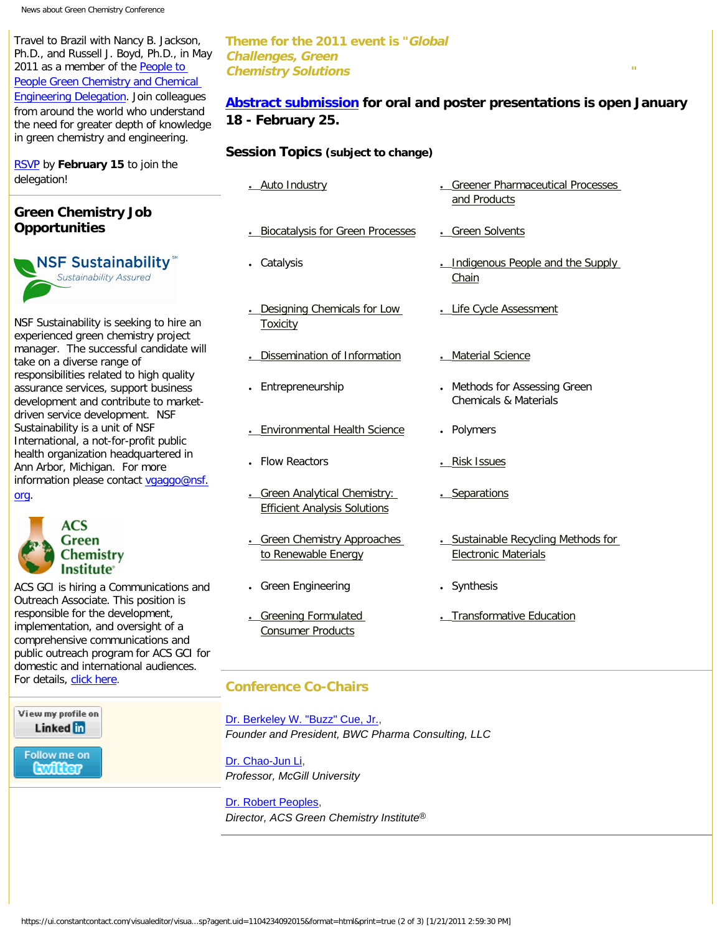Travel to Brazil with Nancy B. Jackson, Ph.D., and Russell J. Boyd, Ph.D., in May 2011 as a member of the [People to](http://r20.rs6.net/tn.jsp?llr=nnmbgpcab&et=1104234092015&s=0&e=001FcoTtUmR84uUuM5I2wmg08pYeGhe1t81jHRjjHi0kwupIAzDt6lEboEXg8c7cHl1YcmzsBAX3pzfCNgol0LzS4vJim49wrYVgVy74FgJapIukESoBpL4kfAu8NOtPREtU33plcSbW9OW8dGVo2jEHmzgPLFfnYmX0o6P-ADjs1ZEf0mzhBtJrg==)  [People Green Chemistry and Chemical](http://r20.rs6.net/tn.jsp?llr=nnmbgpcab&et=1104234092015&s=0&e=001FcoTtUmR84uUuM5I2wmg08pYeGhe1t81jHRjjHi0kwupIAzDt6lEboEXg8c7cHl1YcmzsBAX3pzfCNgol0LzS4vJim49wrYVgVy74FgJapIukESoBpL4kfAu8NOtPREtU33plcSbW9OW8dGVo2jEHmzgPLFfnYmX0o6P-ADjs1ZEf0mzhBtJrg==)  [Engineering Delegation.](http://r20.rs6.net/tn.jsp?llr=nnmbgpcab&et=1104234092015&s=0&e=001FcoTtUmR84uUuM5I2wmg08pYeGhe1t81jHRjjHi0kwupIAzDt6lEboEXg8c7cHl1YcmzsBAX3pzfCNgol0LzS4vJim49wrYVgVy74FgJapIukESoBpL4kfAu8NOtPREtU33plcSbW9OW8dGVo2jEHmzgPLFfnYmX0o6P-ADjs1ZEf0mzhBtJrg==) Join colleagues from around the world who understand the need for greater depth of knowledge in green chemistry and engineering.

[RSVP](http://r20.rs6.net/tn.jsp?llr=nnmbgpcab&et=1104234092015&s=0&e=001FcoTtUmR84uUuM5I2wmg08pYeGhe1t81jHRjjHi0kwupIAzDt6lEboEXg8c7cHl1pcihXDn_lUiYwWcIMDucukEpTlh5XXASbeDcTGXXJOP_rkvmVkhiAAKkjNv0PZmYoau5cYkV51rC8fQTCOwhpayob1GbBmY-VIJgZNPfpGCZgks9qUcOfylhHxu13IyheDPR_xAGTE93MWDZ8wdH6XZnUadL_PbL74sTFXCpNyzRAda6Ma1a8BKhJZyptskeR7O3IlO-k4U5Y1gHxWYrQy8coXh6qFGOtzSccE7l41I8EiNDKO7FGeTRbxhPN3GiyRuwhV3_bZA=) by **February 15** to join the delegation!

# **Green Chemistry Job Opportunities**

**NSF Sustainability Sustainability Assured** 

NSF Sustainability is seeking to hire an experienced green chemistry project manager. The successful candidate wi take on a diverse range of responsibilities related to high quality assurance services, support business development and contribute to marketdriven service development. NSF Sustainability is a unit of NSF International, a not-for-profit public health organization headquartered in Ann Arbor, Michigan. For more information please contact vgaggo@ns [org](mailto:vgaggo@nsf.org).



View my profile on Linked in

Follow me on **Ewiller** 

**Chemistry** 

ACS GCI is hiring a Communications ar Outreach Associate. This position is responsible for the development, implementation, and oversight of a comprehensive communications and public outreach program for ACS GCI fo domestic and international audiences. For details, [click here.](http://r20.rs6.net/tn.jsp?llr=nnmbgpcab&et=1104234092015&s=0&e=001FcoTtUmR84uUuM5I2wmg08pYeGhe1t81jHRjjHi0kwupIAzDt6lEboEXg8c7cHl1pcihXDn_lUiYwWcIMDucuiWGFFYms5H-2rqJhIVob_zpha2aBiXmuXj3o3wDD1kQajgKH3O96gYwCp_-imn4Vnq9PZy6VZpELkULy7YuYzNcfz2Ls_O0szmoSIZi4zFOA7qYSPugm5dlewuFUaIizMNms5rSd4ozYWumC1-MhjN9ot4o5a0japVwAihL9JO8HCyX8eSx-2RC85nPm5UcT3YbsRFfkTJ4nkQ7CUQ6NtLDJgbg6WMNNB7PIvj-SBMx)

### **Theme for the 2011 event is "Global Challenges, Green Chemistry Solutions "**

**[Abstract submission](http://r20.rs6.net/tn.jsp?llr=nnmbgpcab&et=1104234092015&s=0&e=001FcoTtUmR84uUuM5I2wmg08pYeGhe1t81jHRjjHi0kwupIAzDt6lEboEXg8c7cHl1YcmzsBAX3px9Iw7uMTvFM6kqnuCvOoGDPnOwbq4EIdGHBih5k3AK_ZbODZKV61B6jun2Q5tNzhB97Ik9kk_Hyw==) for oral and poster presentations is open January 18 - February 25.**

### **Session Topics (subject to change)**

|     | . Auto Industry                                                      | . Greener Pharmaceutical Processes<br>and Products                 |
|-----|----------------------------------------------------------------------|--------------------------------------------------------------------|
|     | <b>.</b> Biocatalysis for Green Processes                            | . Green Solvents                                                   |
|     | • Catalysis                                                          | . Indigenous People and the Supply<br>Chain                        |
|     | . Designing Chemicals for Low<br><b>Toxicity</b>                     | . Life Cycle Assessment                                            |
| ill | Dissemination of Information                                         | . Material Science                                                 |
|     | • Entrepreneurship                                                   | • Methods for Assessing Green<br><b>Chemicals &amp; Materials</b>  |
|     | Environmental Health Science                                         | Polymers<br>$\bullet$                                              |
|     | <b>Flow Reactors</b>                                                 | . Risk Issues                                                      |
| sf. | . Green Analytical Chemistry:<br><b>Efficient Analysis Solutions</b> | . Separations                                                      |
|     | . Green Chemistry Approaches<br>to Renewable Energy                  | . Sustainable Recycling Methods for<br><b>Electronic Materials</b> |
| nd  | <b>Green Engineering</b>                                             | Synthesis                                                          |
|     | <b>Greening Formulated</b><br><b>Consumer Products</b>               | _Transformative Education                                          |
| or? |                                                                      |                                                                    |

### **Conference Co-Chairs**

[Dr. Berkeley W. "Buzz" Cue, Jr.](http://r20.rs6.net/tn.jsp?llr=nnmbgpcab&et=1104234092015&s=0&e=001FcoTtUmR84uUuM5I2wmg08pYeGhe1t81jHRjjHi0kwupIAzDt6lEboEXg8c7cHl1YcmzsBAX3pzfCNgol0LzS29sm_qBD0DsHSHCGU1l6wqPS9yGbYwkRP3r_tUBT3u16rOOU5MtvxyNtOpRweYtttPtREXM8Eky1FDf-onxOkg=), *Founder and President, BWC Pharma Consulting, LLC*

[Dr. Chao-Jun Li](http://r20.rs6.net/tn.jsp?llr=nnmbgpcab&et=1104234092015&s=0&e=001FcoTtUmR84uUuM5I2wmg08pYeGhe1t81jHRjjHi0kwupIAzDt6lEboEXg8c7cHl1YcmzsBAX3pyJVuPZ0XjNUkJ963nYmjS3PzMssFAyUJ2dHbNq6m32ZR6jR1MwtRuS), *Professor, McGill University*

[Dr. Robert Peoples](http://r20.rs6.net/tn.jsp?llr=nnmbgpcab&et=1104234092015&s=0&e=001FcoTtUmR84uUuM5I2wmg08pYeGhe1t81jHRjjHi0kwupIAzDt6lEboEXg8c7cHl1YcmzsBAX3px9coBWPn5l5f0EaAljGS0nfbv_Tc-ShkK9aS19Wnw4R3_TsMN0sfAL_7qPwwTO95EJPZqQ89yYrV5_KO-Lst1L7afNvQKnZl4CK7cNgLa1jJvrGC9GWZw0), *Director, ACS Green Chemistry Institute®*